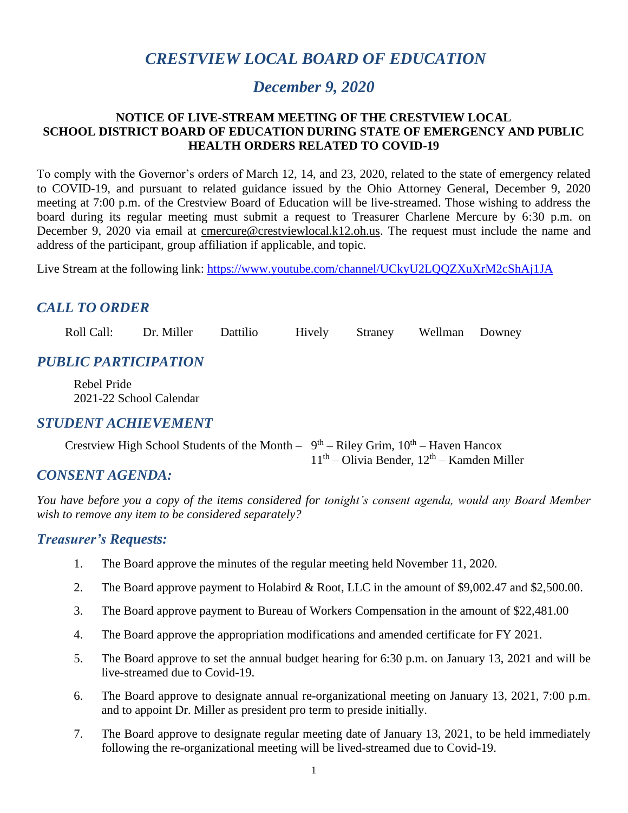# *CRESTVIEW LOCAL BOARD OF EDUCATION*

# *December 9, 2020*

#### **NOTICE OF LIVE-STREAM MEETING OF THE CRESTVIEW LOCAL SCHOOL DISTRICT BOARD OF EDUCATION DURING STATE OF EMERGENCY AND PUBLIC HEALTH ORDERS RELATED TO COVID-19**

To comply with the Governor's orders of March 12, 14, and 23, 2020, related to the state of emergency related to COVID-19, and pursuant to related guidance issued by the Ohio Attorney General, December 9, 2020 meeting at 7:00 p.m. of the Crestview Board of Education will be live-streamed. Those wishing to address the board during its regular meeting must submit a request to Treasurer Charlene Mercure by 6:30 p.m. on December 9, 2020 via email at [cmercure@crestviewlocal.k12.oh.us.](mailto:cmercure@crestviewlocal.k12.oh.us) The request must include the name and address of the participant, group affiliation if applicable, and topic.

Live Stream at the following link: <https://www.youtube.com/channel/UCkyU2LQQZXuXrM2cShAj1JA>

# *CALL TO ORDER*

Roll Call: Dr. Miller Dattilio Hively Straney Wellman Downey

## *PUBLIC PARTICIPATION*

Rebel Pride 2021-22 School Calendar

#### *STUDENT ACHIEVEMENT*

| Crestview High School Students of the Month - $9th$ - Riley Grim, $10th$ - Haven Hancox |                                                |
|-----------------------------------------------------------------------------------------|------------------------------------------------|
|                                                                                         | $11th$ – Olivia Bender, $12th$ – Kamden Miller |

## *CONSENT AGENDA:*

*You have before you a copy of the items considered for tonight's consent agenda, would any Board Member wish to remove any item to be considered separately?*

#### *Treasurer's Requests:*

- 1. The Board approve the minutes of the regular meeting held November 11, 2020.
- 2. The Board approve payment to Holabird & Root, LLC in the amount of \$9,002.47 and \$2,500.00.
- 3. The Board approve payment to Bureau of Workers Compensation in the amount of \$22,481.00
- 4. The Board approve the appropriation modifications and amended certificate for FY 2021.
- 5. The Board approve to set the annual budget hearing for 6:30 p.m. on January 13, 2021 and will be live-streamed due to Covid-19.
- 6. The Board approve to designate annual re-organizational meeting on January 13, 2021, 7:00 p.m. and to appoint Dr. Miller as president pro term to preside initially.
- 7. The Board approve to designate regular meeting date of January 13, 2021, to be held immediately following the re-organizational meeting will be lived-streamed due to Covid-19.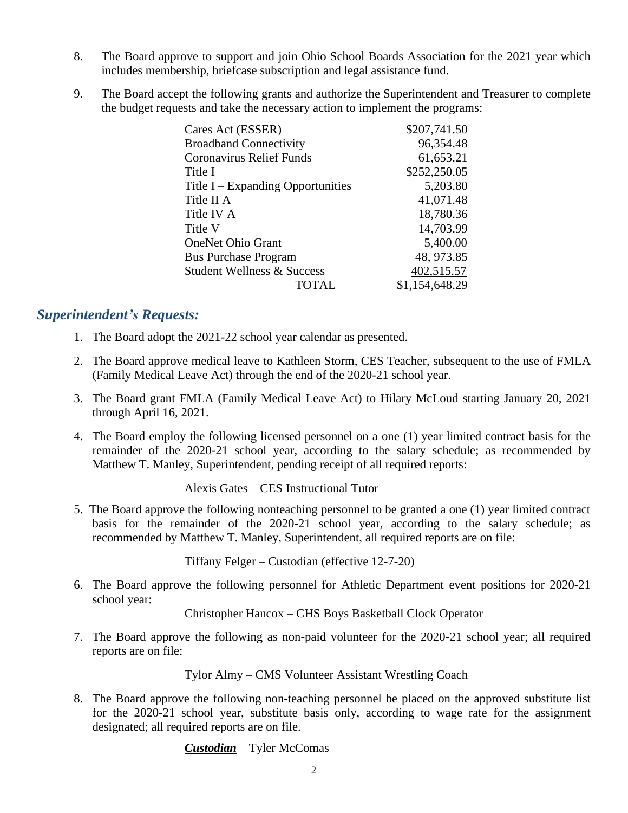- 8. The Board approve to support and join Ohio School Boards Association for the 2021 year which includes membership, briefcase subscription and legal assistance fund.
- 9. The Board accept the following grants and authorize the Superintendent and Treasurer to complete the budget requests and take the necessary action to implement the programs:

| Cares Act (ESSER)                     | \$207,741.50   |
|---------------------------------------|----------------|
| <b>Broadband Connectivity</b>         | 96,354.48      |
| <b>Coronavirus Relief Funds</b>       | 61,653.21      |
| Title I                               | \$252,250.05   |
| Title $I -$ Expanding Opportunities   | 5,203.80       |
| Title II A                            | 41,071.48      |
| Title IV A                            | 18,780.36      |
| Title V                               | 14,703.99      |
| <b>OneNet Ohio Grant</b>              | 5,400.00       |
| <b>Bus Purchase Program</b>           | 48, 973.85     |
| <b>Student Wellness &amp; Success</b> | 402,515.57     |
| TOTAL                                 | \$1,154,648.29 |

#### *Superintendent's Requests:*

- 1. The Board adopt the 2021-22 school year calendar as presented.
- 2. The Board approve medical leave to Kathleen Storm, CES Teacher, subsequent to the use of FMLA (Family Medical Leave Act) through the end of the 2020-21 school year.
- 3. The Board grant FMLA (Family Medical Leave Act) to Hilary McLoud starting January 20, 2021 through April 16, 2021.
- 4. The Board employ the following licensed personnel on a one (1) year limited contract basis for the remainder of the 2020-21 school year, according to the salary schedule; as recommended by Matthew T. Manley, Superintendent, pending receipt of all required reports:

Alexis Gates – CES Instructional Tutor

5. The Board approve the following nonteaching personnel to be granted a one (1) year limited contract basis for the remainder of the 2020-21 school year, according to the salary schedule; as recommended by Matthew T. Manley, Superintendent, all required reports are on file:

Tiffany Felger – Custodian (effective 12-7-20)

6. The Board approve the following personnel for Athletic Department event positions for 2020-21 school year:

Christopher Hancox – CHS Boys Basketball Clock Operator

7. The Board approve the following as non-paid volunteer for the 2020-21 school year; all required reports are on file:

Tylor Almy – CMS Volunteer Assistant Wrestling Coach

8. The Board approve the following non-teaching personnel be placed on the approved substitute list for the 2020-21 school year, substitute basis only, according to wage rate for the assignment designated; all required reports are on file.

*Custodian* – Tyler McComas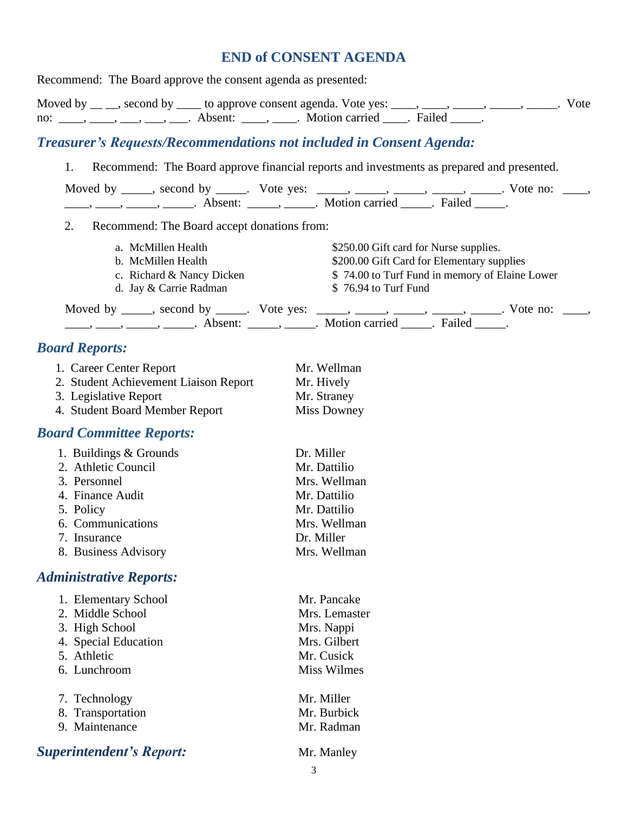# **END of CONSENT AGENDA**

| Recommend: The Board approve the consent agenda as presented:                                                                                               |                                                                                                                                                                                                                                                                                                                                                                                                                                 |  |
|-------------------------------------------------------------------------------------------------------------------------------------------------------------|---------------------------------------------------------------------------------------------------------------------------------------------------------------------------------------------------------------------------------------------------------------------------------------------------------------------------------------------------------------------------------------------------------------------------------|--|
| no: ____, ___, ___, ___, ___. Absent: ____, ____. Motion carried ____. Failed ____.                                                                         | Moved by $\_\_$ , second by $\_\_$ to approve consent agenda. Vote yes: $\_\_$ , $\_\_$ , $\_\_$ , $\_\_$ , $\_\_$ , $\_\_$ . Vote                                                                                                                                                                                                                                                                                              |  |
| <b>Treasurer's Requests/Recommendations not included in Consent Agenda:</b>                                                                                 |                                                                                                                                                                                                                                                                                                                                                                                                                                 |  |
| 1.                                                                                                                                                          | Recommend: The Board approve financial reports and investments as prepared and presented.                                                                                                                                                                                                                                                                                                                                       |  |
|                                                                                                                                                             | Moved by _____, second by _____. Vote yes: _____, _____, _____, _____, _____. Vote no: ____,                                                                                                                                                                                                                                                                                                                                    |  |
|                                                                                                                                                             |                                                                                                                                                                                                                                                                                                                                                                                                                                 |  |
| 2.<br>Recommend: The Board accept donations from:                                                                                                           |                                                                                                                                                                                                                                                                                                                                                                                                                                 |  |
| a. McMillen Health<br>b. McMillen Health<br>c. Richard & Nancy Dicken<br>d. Jay & Carrie Radman                                                             | \$250.00 Gift card for Nurse supplies.<br>\$200.00 Gift Card for Elementary supplies<br>\$74.00 to Turf Fund in memory of Elaine Lower<br>\$76.94 to Turf Fund                                                                                                                                                                                                                                                                  |  |
|                                                                                                                                                             | Moved by _____, second by _____. Vote yes: _____, _____, _____, _____, _____. Vote no: ____,                                                                                                                                                                                                                                                                                                                                    |  |
|                                                                                                                                                             | $\frac{1}{\sqrt{1-\frac{1}{2}}}, \frac{1}{\sqrt{1-\frac{1}{2}}}, \frac{1}{\sqrt{1-\frac{1}{2}}}, \frac{1}{\sqrt{1-\frac{1}{2}}}, \frac{1}{\sqrt{1-\frac{1}{2}}}, \frac{1}{\sqrt{1-\frac{1}{2}}}, \frac{1}{\sqrt{1-\frac{1}{2}}}, \frac{1}{\sqrt{1-\frac{1}{2}}}, \frac{1}{\sqrt{1-\frac{1}{2}}}, \frac{1}{\sqrt{1-\frac{1}{2}}}, \frac{1}{\sqrt{1-\frac{1}{2}}}, \frac{1}{\sqrt{1-\frac{1}{2}}}, \frac{1}{\sqrt{1-\frac{1}{2}}$ |  |
| <b>Board Reports:</b>                                                                                                                                       |                                                                                                                                                                                                                                                                                                                                                                                                                                 |  |
| 1. Career Center Report<br>2. Student Achievement Liaison Report<br>3. Legislative Report<br>4. Student Board Member Report                                 | Mr. Wellman<br>Mr. Hively<br>Mr. Straney<br>Miss Downey                                                                                                                                                                                                                                                                                                                                                                         |  |
| <b>Board Committee Reports:</b>                                                                                                                             |                                                                                                                                                                                                                                                                                                                                                                                                                                 |  |
| 1. Buildings & Grounds<br>2. Athletic Council<br>3. Personnel<br>4. Finance Audit<br>5. Policy<br>6. Communications<br>7. Insurance<br>8. Business Advisory | Dr. Miller<br>Mr. Dattilio<br>Mrs. Wellman<br>Mr. Dattilio<br>Mr. Dattilio<br>Mrs. Wellman<br>Dr. Miller<br>Mrs. Wellman                                                                                                                                                                                                                                                                                                        |  |
| <b>Administrative Reports:</b>                                                                                                                              |                                                                                                                                                                                                                                                                                                                                                                                                                                 |  |
| 1. Elementary School<br>2. Middle School<br>3. High School<br>4. Special Education<br>5. Athletic<br>6. Lunchroom                                           | Mr. Pancake<br>Mrs. Lemaster<br>Mrs. Nappi<br>Mrs. Gilbert<br>Mr. Cusick<br><b>Miss Wilmes</b>                                                                                                                                                                                                                                                                                                                                  |  |
| 7. Technology<br>8. Transportation<br>9. Maintenance                                                                                                        | Mr. Miller<br>Mr. Burbick<br>Mr. Radman                                                                                                                                                                                                                                                                                                                                                                                         |  |
| <b>Superintendent's Report:</b>                                                                                                                             | Mr. Manley                                                                                                                                                                                                                                                                                                                                                                                                                      |  |
|                                                                                                                                                             |                                                                                                                                                                                                                                                                                                                                                                                                                                 |  |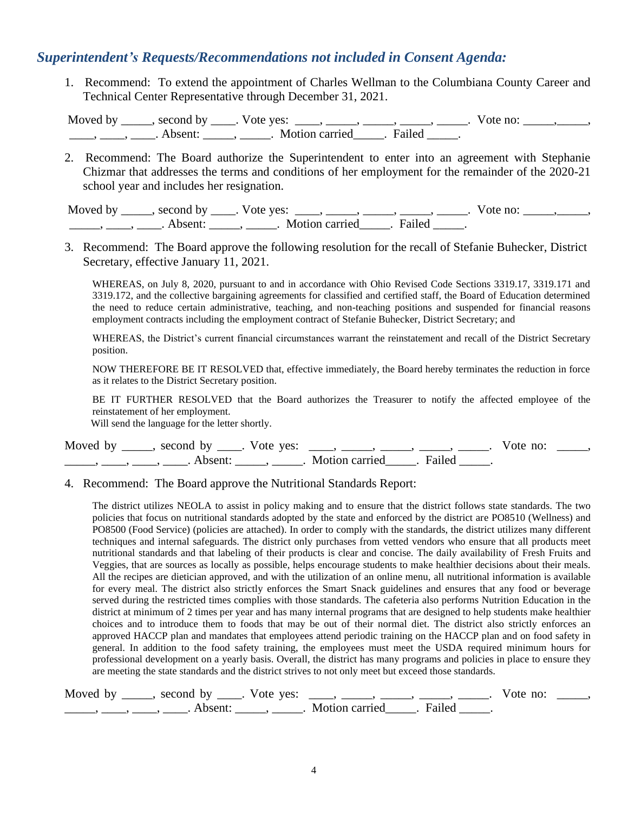#### *Superintendent's Requests/Recommendations not included in Consent Agenda:*

 1. Recommend: To extend the appointment of Charles Wellman to the Columbiana County Career and Technical Center Representative through December 31, 2021.

Moved by \_\_\_\_\_, second by \_\_\_\_. Vote yes: \_\_\_\_, \_\_\_\_\_, \_\_\_\_\_, \_\_\_\_\_, \_\_\_\_\_. Vote no: \_\_\_\_\_, \_\_\_\_\_, \_\_\_\_\_, \_\_\_\_\_, Absent: \_\_\_\_\_, \_\_\_\_\_. Motion carried \_\_\_\_\_. Failed \_\_\_\_\_.

 2. Recommend: The Board authorize the Superintendent to enter into an agreement with Stephanie Chizmar that addresses the terms and conditions of her employment for the remainder of the 2020-21 school year and includes her resignation.

Moved by \_\_\_\_\_, second by \_\_\_\_. Vote yes: \_\_\_\_, \_\_\_\_\_, \_\_\_\_\_, \_\_\_\_\_, \_\_\_\_\_. Vote no: \_\_\_\_\_, \_\_\_\_\_, \_\_\_\_\_\_, \_\_\_\_\_, Absent: \_\_\_\_\_, \_\_\_\_\_. Motion carried \_\_\_\_\_. Failed \_\_\_\_\_.

3. Recommend: The Board approve the following resolution for the recall of Stefanie Buhecker, District Secretary, effective January 11, 2021.

WHEREAS, on July 8, 2020, pursuant to and in accordance with Ohio Revised Code Sections 3319.17, 3319.171 and 3319.172, and the collective bargaining agreements for classified and certified staff, the Board of Education determined the need to reduce certain administrative, teaching, and non-teaching positions and suspended for financial reasons employment contracts including the employment contract of Stefanie Buhecker, District Secretary; and

WHEREAS, the District's current financial circumstances warrant the reinstatement and recall of the District Secretary position.

NOW THEREFORE BE IT RESOLVED that, effective immediately, the Board hereby terminates the reduction in force as it relates to the District Secretary position.

BE IT FURTHER RESOLVED that the Board authorizes the Treasurer to notify the affected employee of the reinstatement of her employment.

Will send the language for the letter shortly.

| Moved by second by . Vote yes: |                         | Vote no: |  |
|--------------------------------|-------------------------|----------|--|
| Ahsent <sup>.</sup>            | Motion carried . Failed |          |  |

#### 4. Recommend: The Board approve the Nutritional Standards Report:

The district utilizes NEOLA to assist in policy making and to ensure that the district follows state standards. The two policies that focus on nutritional standards adopted by the state and enforced by the district are PO8510 (Wellness) and PO8500 (Food Service) (policies are attached). In order to comply with the standards, the district utilizes many different techniques and internal safeguards. The district only purchases from vetted vendors who ensure that all products meet nutritional standards and that labeling of their products is clear and concise. The daily availability of Fresh Fruits and Veggies, that are sources as locally as possible, helps encourage students to make healthier decisions about their meals. All the recipes are dietician approved, and with the utilization of an online menu, all nutritional information is available for every meal. The district also strictly enforces the Smart Snack guidelines and ensures that any food or beverage served during the restricted times complies with those standards. The cafeteria also performs Nutrition Education in the district at minimum of 2 times per year and has many internal programs that are designed to help students make healthier choices and to introduce them to foods that may be out of their normal diet. The district also strictly enforces an approved HACCP plan and mandates that employees attend periodic training on the HACCP plan and on food safety in general. In addition to the food safety training, the employees must meet the USDA required minimum hours for professional development on a yearly basis. Overall, the district has many programs and policies in place to ensure they are meeting the state standards and the district strives to not only meet but exceed those standards.

| Moved by | $\cdot$ second by $\cdot$ | Vote yes: |                     |        | Vote no: |  |
|----------|---------------------------|-----------|---------------------|--------|----------|--|
|          | Absent <sup>.</sup>       |           | Motion carried [10] | Failea |          |  |